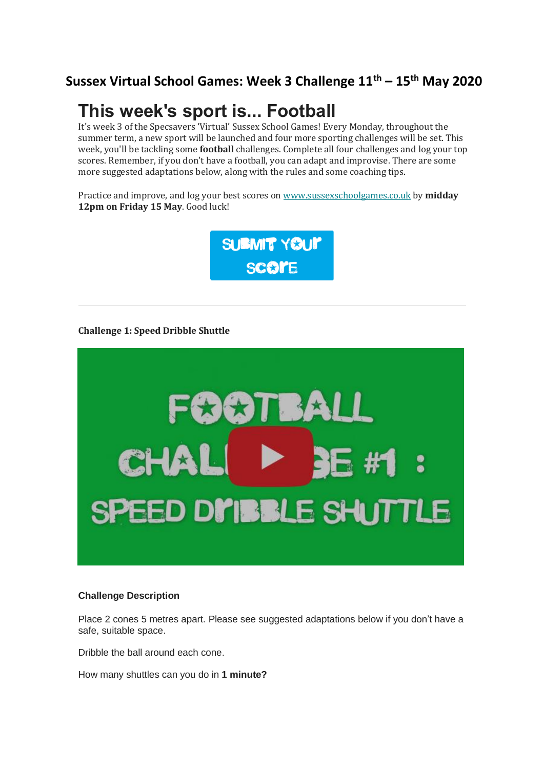### **Sussex Virtual School Games: Week 3 Challenge 11th – 15th May 2020**

## **This week's sport is... Football**

It's week 3 of the Specsavers 'Virtual' Sussex School Games! Every Monday, throughout the summer term, a new sport will be launched and four more sporting challenges will be set. This week, you'll be tackling some **football** challenges. Complete all four challenges and log your top scores. Remember, if you don't have a football, you can adapt and improvise. There are some more suggested adaptations below, along with the rules and some coaching tips.

Practice and improve, and log your best scores on [www.sussexschoolgames.co.uk](https://eur04.safelinks.protection.outlook.com/?url=https%3A%2F%2Fsussexschoolgames.us19.list-manage.com%2Ftrack%2Fclick%3Fu%3D7e3010e972326c6e37223b895%26id%3Da8c4dd778a%26e%3Dd6f7d5b9c2&data=02%7C01%7C%7C072494cfab0e4c3d844508d7f5857701%7C84df9e7fe9f640afb435aaaaaaaaaaaa%7C1%7C0%7C637247825882127049&sdata=t7I0Z%2Bt8N3UE6kmvz2JxIUFub1m10wAy%2BAPPunMdeew%3D&reserved=0) by **midday 12pm on Friday 15 May**. Good luck!



#### **Challenge 1: Speed Dribble Shuttle**



#### **Challenge Description**

Place 2 cones 5 metres apart. Please see suggested adaptations below if you don't have a safe, suitable space.

Dribble the ball around each cone.

How many shuttles can you do in **1 minute?**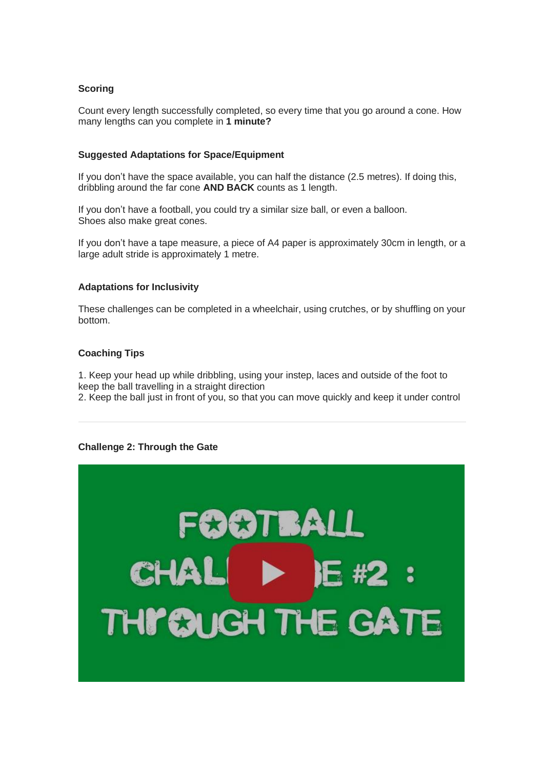#### **Scoring**

Count every length successfully completed, so every time that you go around a cone. How many lengths can you complete in **1 minute?**

#### **Suggested Adaptations for Space/Equipment**

If you don't have the space available, you can half the distance (2.5 metres). If doing this, dribbling around the far cone **AND BACK** counts as 1 length.

If you don't have a football, you could try a similar size ball, or even a balloon. Shoes also make great cones.

If you don't have a tape measure, a piece of A4 paper is approximately 30cm in length, or a large adult stride is approximately 1 metre.

#### **Adaptations for Inclusivity**

These challenges can be completed in a wheelchair, using crutches, or by shuffling on your bottom.

#### **Coaching Tips**

1. Keep your head up while dribbling, using your instep, laces and outside of the foot to keep the ball travelling in a straight direction

2. Keep the ball just in front of you, so that you can move quickly and keep it under control

#### **Challenge 2: Through the Gate**

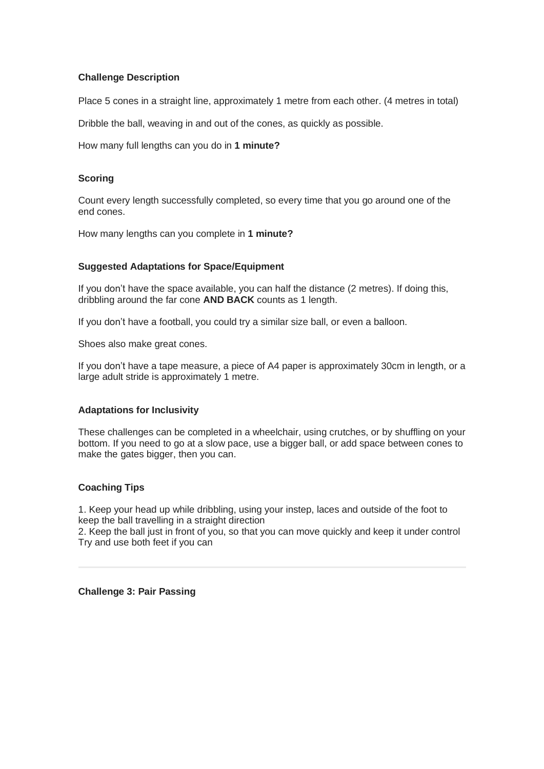#### **Challenge Description**

Place 5 cones in a straight line, approximately 1 metre from each other. (4 metres in total)

Dribble the ball, weaving in and out of the cones, as quickly as possible.

How many full lengths can you do in **1 minute?**

#### **Scoring**

Count every length successfully completed, so every time that you go around one of the end cones.

How many lengths can you complete in **1 minute?**

#### **Suggested Adaptations for Space/Equipment**

If you don't have the space available, you can half the distance (2 metres). If doing this, dribbling around the far cone **AND BACK** counts as 1 length.

If you don't have a football, you could try a similar size ball, or even a balloon.

Shoes also make great cones.

If you don't have a tape measure, a piece of A4 paper is approximately 30cm in length, or a large adult stride is approximately 1 metre.

#### **Adaptations for Inclusivity**

These challenges can be completed in a wheelchair, using crutches, or by shuffling on your bottom. If you need to go at a slow pace, use a bigger ball, or add space between cones to make the gates bigger, then you can.

#### **Coaching Tips**

1. Keep your head up while dribbling, using your instep, laces and outside of the foot to keep the ball travelling in a straight direction

2. Keep the ball just in front of you, so that you can move quickly and keep it under control Try and use both feet if you can

**Challenge 3: Pair Passing**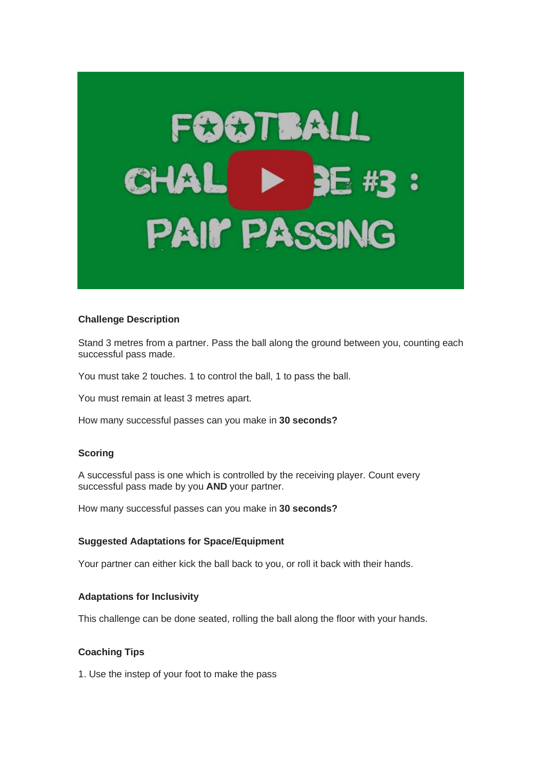# $\star$ TB PAI**I** PA

#### **Challenge Description**

Stand 3 metres from a partner. Pass the ball along the ground between you, counting each successful pass made.

You must take 2 touches. 1 to control the ball, 1 to pass the ball.

You must remain at least 3 metres apart.

How many successful passes can you make in **30 seconds?** 

#### **Scoring**

A successful pass is one which is controlled by the receiving player. Count every successful pass made by you **AND** your partner.

How many successful passes can you make in **30 seconds?**

#### **Suggested Adaptations for Space/Equipment**

Your partner can either kick the ball back to you, or roll it back with their hands.

#### **Adaptations for Inclusivity**

This challenge can be done seated, rolling the ball along the floor with your hands.

#### **Coaching Tips**

1. Use the instep of your foot to make the pass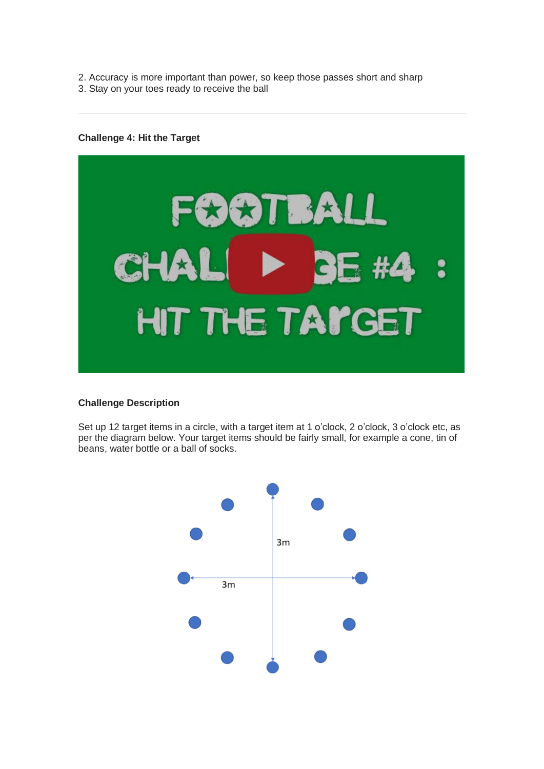- 2. Accuracy is more important than power, so keep those passes short and sharp
- 3. Stay on your toes ready to receive the ball

#### **Challenge 4: Hit the Target**



#### **Challenge Description**

Set up 12 target items in a circle, with a target item at 1 o'clock, 2 o'clock, 3 o'clock etc, as per the diagram below. Your target items should be fairly small, for example a cone, tin of beans, water bottle or a ball of socks.

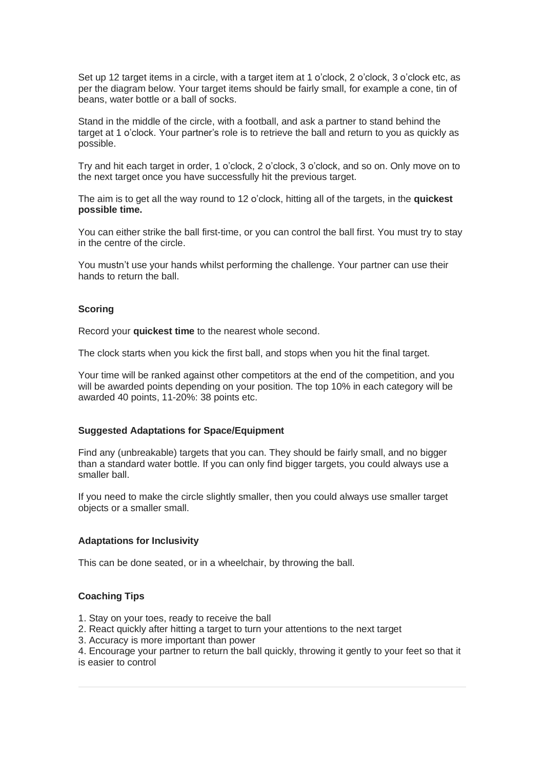Set up 12 target items in a circle, with a target item at 1 o'clock, 2 o'clock, 3 o'clock etc, as per the diagram below. Your target items should be fairly small, for example a cone, tin of beans, water bottle or a ball of socks.

Stand in the middle of the circle, with a football, and ask a partner to stand behind the target at 1 o'clock. Your partner's role is to retrieve the ball and return to you as quickly as possible.

Try and hit each target in order, 1 o'clock, 2 o'clock, 3 o'clock, and so on. Only move on to the next target once you have successfully hit the previous target.

The aim is to get all the way round to 12 o'clock, hitting all of the targets, in the **quickest possible time.**

You can either strike the ball first-time, or you can control the ball first. You must try to stay in the centre of the circle.

You mustn't use your hands whilst performing the challenge. Your partner can use their hands to return the ball.

#### **Scoring**

Record your **quickest time** to the nearest whole second.

The clock starts when you kick the first ball, and stops when you hit the final target.

Your time will be ranked against other competitors at the end of the competition, and you will be awarded points depending on your position. The top 10% in each category will be awarded 40 points, 11-20%: 38 points etc.

#### **Suggested Adaptations for Space/Equipment**

Find any (unbreakable) targets that you can. They should be fairly small, and no bigger than a standard water bottle. If you can only find bigger targets, you could always use a smaller ball.

If you need to make the circle slightly smaller, then you could always use smaller target objects or a smaller small.

#### **Adaptations for Inclusivity**

This can be done seated, or in a wheelchair, by throwing the ball.

#### **Coaching Tips**

- 1. Stay on your toes, ready to receive the ball
- 2. React quickly after hitting a target to turn your attentions to the next target
- 3. Accuracy is more important than power

4. Encourage your partner to return the ball quickly, throwing it gently to your feet so that it is easier to control